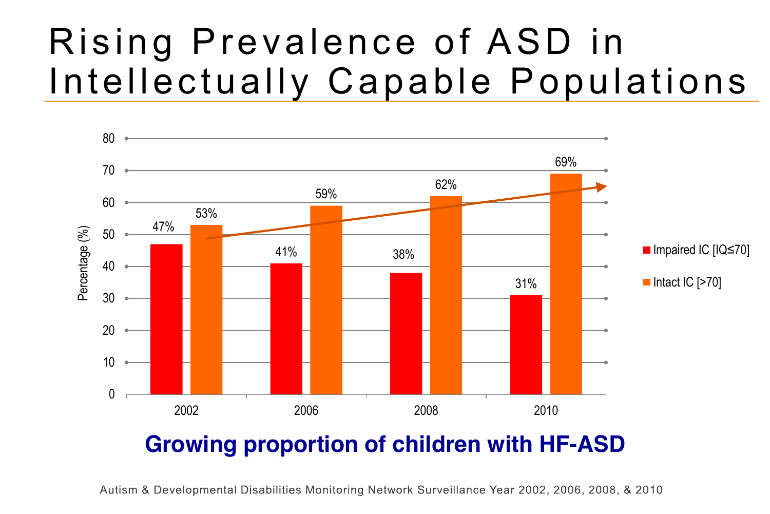# Rising Prevalence of ASD in Intellectually Capable Populations



### **Growing proportion of children with HF-ASD**

Autism & Developmental Disabilities Monitoring Network Surveillance Year 2002, 2006, 2008, & 2010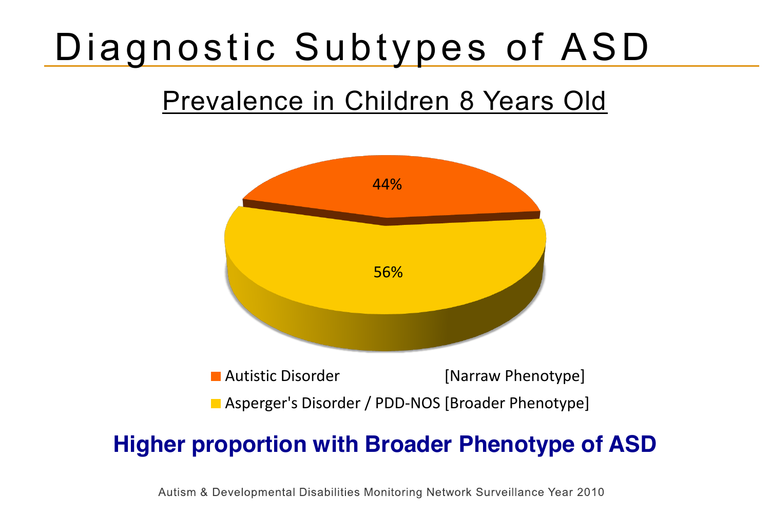# Diagnostic Subtypes of ASD

## Prevalence in Children 8 Years Old



### **Higher proportion with Broader Phenotype of ASD**

Autism & Developmental Disabilities Monitoring Network Surveillance Year 2010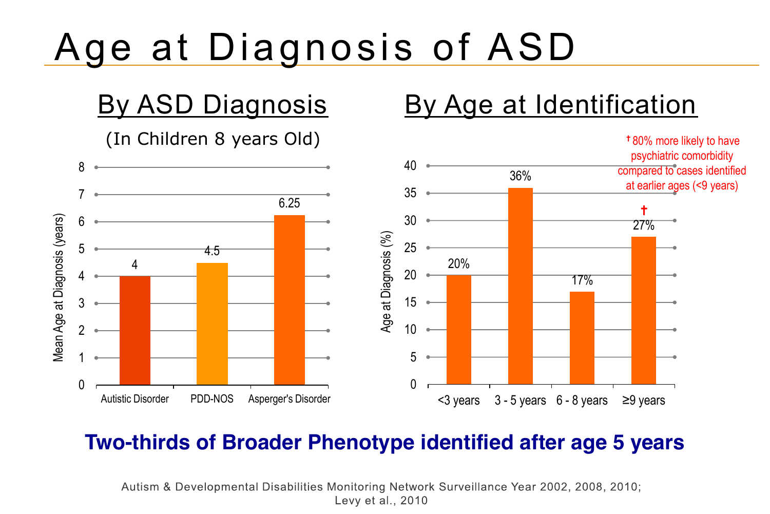# Age at Diagnosis of ASD

### By ASD Diagnosis

(In Children 8 years Old)



By Age at Identification

✝80% more likely to have

#### **Two-thirds of Broader Phenotype identified after age 5 years**

Autism & Developmental Disabilities Monitoring Network Surveillance Year 2002, 2008, 2010; Levy et al., 2010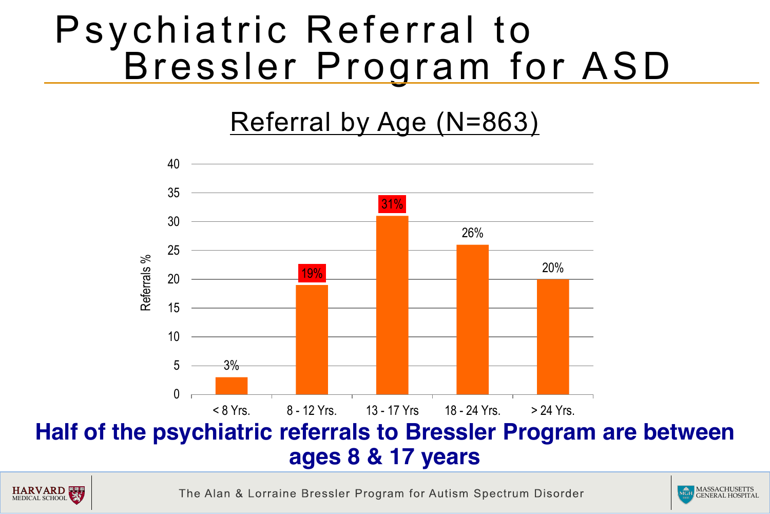## Psychiatric Referral to Bressler Program for ASD

## Referral by Age (N=863)





The Alan & Lorraine Bressler Program for Autism Spectrum Disorder